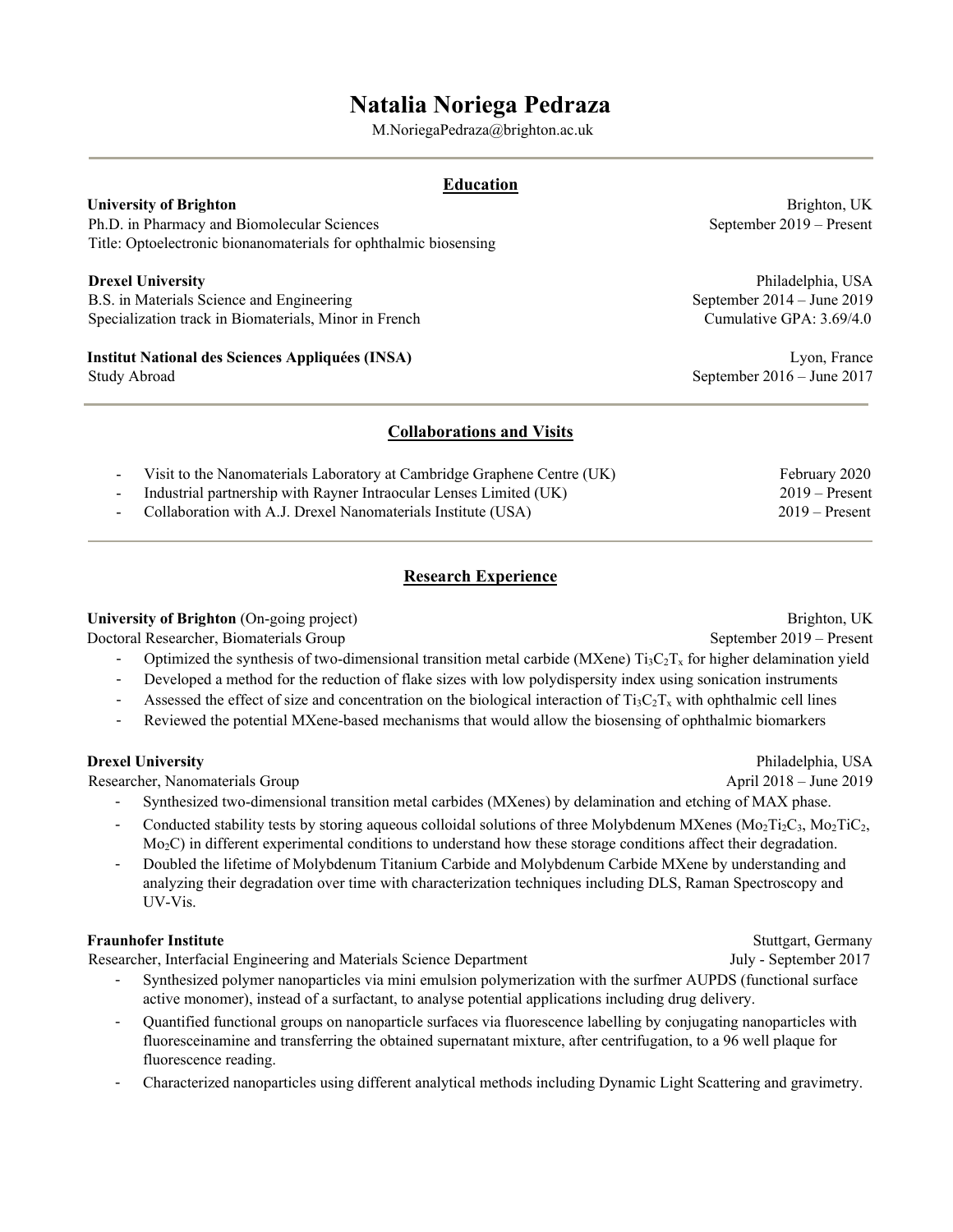# **Natalia Noriega Pedraza**

M.NoriegaPedraza@brighton.ac.uk

### **Education**

Ph.D. in Pharmacy and Biomolecular Sciences September 2019 – Present Title: Optoelectronic bionanomaterials for ophthalmic biosensing

B.S. in Materials Science and Engineering September 2014 – June 2019 Specialization track in Biomaterials, Minor in French Cumulative GPA: 3.69/4.0

# **Institut National des Sciences Appliquées (INSA)** Lyon, France

**University of Brighton Brighton Brighton Brighton**, UK

**Drexel University** Philadelphia, USA

Study Abroad September 2016 – June 2017

### **Collaborations and Visits**

| - Visit to the Nanomaterials Laboratory at Cambridge Graphene Centre (UK) | February 2020    |
|---------------------------------------------------------------------------|------------------|
| Industrial partnership with Rayner Intraocular Lenses Limited (UK)        | $2019 -$ Present |
| - Collaboration with A.J. Drexel Nanomaterials Institute (USA)            | $2019 -$ Present |

# **Research Experience**

**University of Brighton** (On-going project) Brighton, UK

Doctoral Researcher, Biomaterials Group September 2019 – Present

- Optimized the synthesis of two-dimensional transition metal carbide (MXene)  $Ti_3C_2T_x$  for higher delamination yield
- Developed a method for the reduction of flake sizes with low polydispersity index using sonication instruments
- Assessed the effect of size and concentration on the biological interaction of  $Ti_3C_2T_x$  with ophthalmic cell lines
- Reviewed the potential MXene-based mechanisms that would allow the biosensing of ophthalmic biomarkers

Researcher, Nanomaterials Group April 2018 – June 2019

- Synthesized two-dimensional transition metal carbides (MXenes) by delamination and etching of MAX phase.
- Conducted stability tests by storing aqueous colloidal solutions of three Molybdenum MXenes (Mo<sub>2</sub>Ti<sub>2</sub>C<sub>3</sub>, Mo<sub>2</sub>TiC<sub>2</sub>, Mo<sub>2</sub>C) in different experimental conditions to understand how these storage conditions affect their degradation.
- Doubled the lifetime of Molybdenum Titanium Carbide and Molybdenum Carbide MXene by understanding and analyzing their degradation over time with characterization techniques including DLS, Raman Spectroscopy and UV-Vis.

#### **Fraunhofer Institute** Stuttgart, Germany

Researcher, Interfacial Engineering and Materials Science Department July - September 2017

- Synthesized polymer nanoparticles via mini emulsion polymerization with the surfmer AUPDS (functional surface active monomer), instead of a surfactant, to analyse potential applications including drug delivery.
- Quantified functional groups on nanoparticle surfaces via fluorescence labelling by conjugating nanoparticles with fluoresceinamine and transferring the obtained supernatant mixture, after centrifugation, to a 96 well plaque for fluorescence reading.
- Characterized nanoparticles using different analytical methods including Dynamic Light Scattering and gravimetry.

**Drexel University** Philadelphia, USA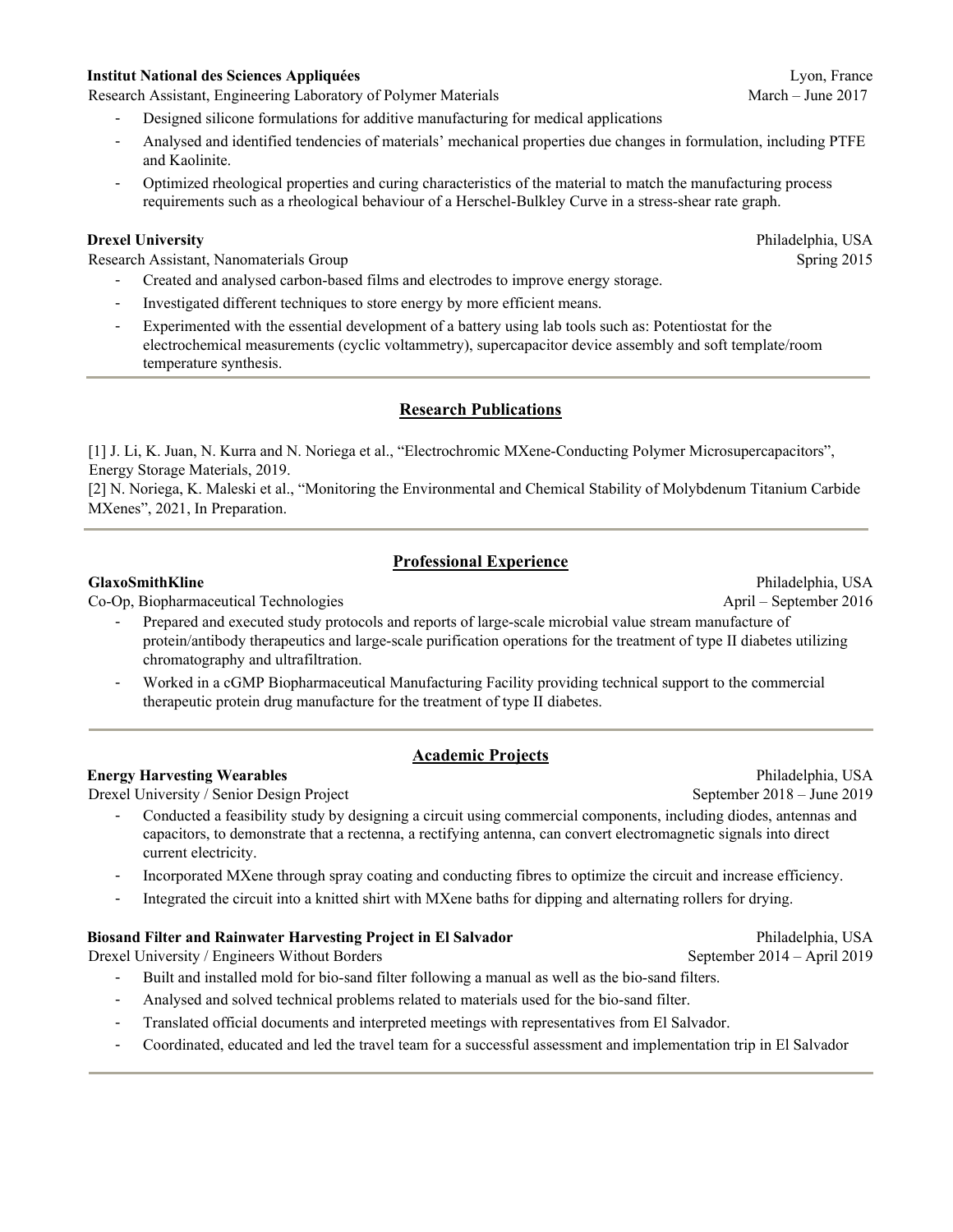#### **Institut National des Sciences Appliquées** Lyon, France

Research Assistant, Engineering Laboratory of Polymer Materials March – June 2017

- Designed silicone formulations for additive manufacturing for medical applications
- Analysed and identified tendencies of materials' mechanical properties due changes in formulation, including PTFE and Kaolinite.
- Optimized rheological properties and curing characteristics of the material to match the manufacturing process requirements such as a rheological behaviour of a Herschel-Bulkley Curve in a stress-shear rate graph.

#### **Drexel University** Philadelphia, USA

Research Assistant, Nanomaterials Group Spring 2015

- Created and analysed carbon-based films and electrodes to improve energy storage.
- Investigated different techniques to store energy by more efficient means.
- Experimented with the essential development of a battery using lab tools such as: Potentiostat for the electrochemical measurements (cyclic voltammetry), supercapacitor device assembly and soft template/room temperature synthesis.

#### **Research Publications**

[1] J. Li, K. Juan, N. Kurra and N. Noriega et al., "Electrochromic MXene-Conducting Polymer Microsupercapacitors", Energy Storage Materials, 2019.

[2] N. Noriega, K. Maleski et al., "Monitoring the Environmental and Chemical Stability of Molybdenum Titanium Carbide MXenes", 2021, In Preparation.

### **Professional Experience**

Co-Op, Biopharmaceutical Technologies April – September 2016

- Prepared and executed study protocols and reports of large-scale microbial value stream manufacture of protein/antibody therapeutics and large-scale purification operations for the treatment of type II diabetes utilizing chromatography and ultrafiltration.
- Worked in a cGMP Biopharmaceutical Manufacturing Facility providing technical support to the commercial therapeutic protein drug manufacture for the treatment of type II diabetes.

### **Academic Projects**

#### **Energy Harvesting Wearables** Philadelphia, USA

Drexel University / Senior Design Project September 2018 – June 2019

- Conducted a feasibility study by designing a circuit using commercial components, including diodes, antennas and capacitors, to demonstrate that a rectenna, a rectifying antenna, can convert electromagnetic signals into direct current electricity.
- Incorporated MXene through spray coating and conducting fibres to optimize the circuit and increase efficiency.
- Integrated the circuit into a knitted shirt with MXene baths for dipping and alternating rollers for drying.

#### **Biosand Filter and Rainwater Harvesting Project in El Salvador Philadelphia, USA**

Drexel University / Engineers Without Borders September 2014 – April 2019

- Built and installed mold for bio-sand filter following a manual as well as the bio-sand filters.
- Analysed and solved technical problems related to materials used for the bio-sand filter.
- Translated official documents and interpreted meetings with representatives from El Salvador.
- Coordinated, educated and led the travel team for a successful assessment and implementation trip in El Salvador

**GlaxoSmithKline** Philadelphia, USA